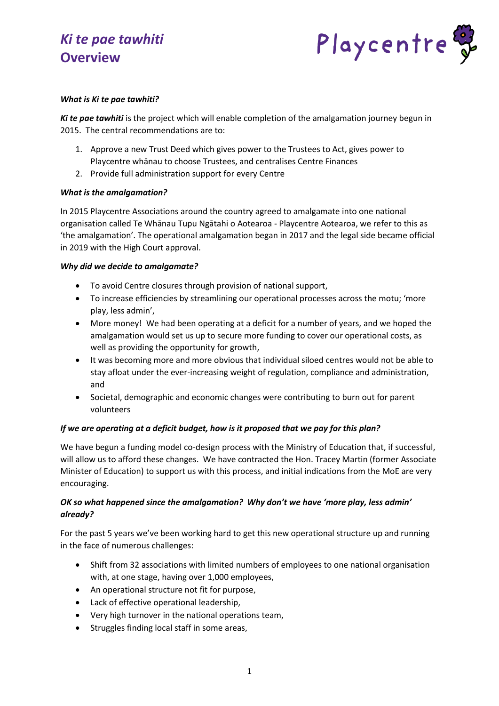

### *What is Ki te pae tawhiti?*

*Ki te pae tawhiti* is the project which will enable completion of the amalgamation journey begun in 2015. The central recommendations are to:

- 1. Approve a new Trust Deed which gives power to the Trustees to Act, gives power to Playcentre whānau to choose Trustees, and centralises Centre Finances
- 2. Provide full administration support for every Centre

### *What is the amalgamation?*

In 2015 Playcentre Associations around the country agreed to amalgamate into one national organisation called Te Whānau Tupu Ngātahi o Aotearoa - Playcentre Aotearoa, we refer to this as 'the amalgamation'. The operational amalgamation began in 2017 and the legal side became official in 2019 with the High Court approval.

#### *Why did we decide to amalgamate?*

- To avoid Centre closures through provision of national support,
- To increase efficiencies by streamlining our operational processes across the motu; 'more play, less admin',
- More money! We had been operating at a deficit for a number of years, and we hoped the amalgamation would set us up to secure more funding to cover our operational costs, as well as providing the opportunity for growth,
- It was becoming more and more obvious that individual siloed centres would not be able to stay afloat under the ever-increasing weight of regulation, compliance and administration, and
- Societal, demographic and economic changes were contributing to burn out for parent volunteers

# *If we are operating at a deficit budget, how is it proposed that we pay for this plan?*

We have begun a funding model co-design process with the Ministry of Education that, if successful, will allow us to afford these changes. We have contracted the Hon. Tracey Martin (former Associate Minister of Education) to support us with this process, and initial indications from the MoE are very encouraging.

# *OK so what happened since the amalgamation? Why don't we have 'more play, less admin' already?*

For the past 5 years we've been working hard to get this new operational structure up and running in the face of numerous challenges:

- Shift from 32 associations with limited numbers of employees to one national organisation with, at one stage, having over 1,000 employees,
- An operational structure not fit for purpose,
- Lack of effective operational leadership,
- Very high turnover in the national operations team,
- Struggles finding local staff in some areas,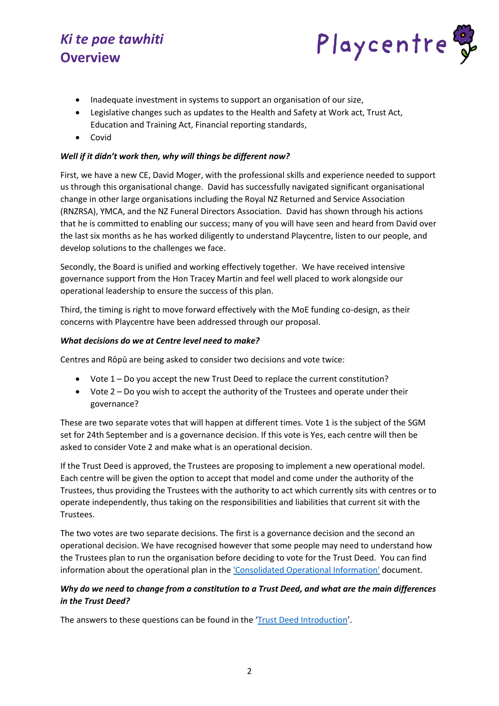

- Inadequate investment in systems to support an organisation of our size,
- Legislative changes such as updates to the Health and Safety at Work act, Trust Act, Education and Training Act, Financial reporting standards,
- Covid

### *Well if it didn't work then, why will things be different now?*

First, we have a new CE, David Moger, with the professional skills and experience needed to support us through this organisational change. David has successfully navigated significant organisational change in other large organisations including the Royal NZ Returned and Service Association (RNZRSA), YMCA, and the NZ Funeral Directors Association. David has shown through his actions that he is committed to enabling our success; many of you will have seen and heard from David over the last six months as he has worked diligently to understand Playcentre, listen to our people, and develop solutions to the challenges we face.

Secondly, the Board is unified and working effectively together. We have received intensive governance support from the Hon Tracey Martin and feel well placed to work alongside our operational leadership to ensure the success of this plan.

Third, the timing is right to move forward effectively with the MoE funding co-design, as their concerns with Playcentre have been addressed through our proposal.

#### *What decisions do we at Centre level need to make?*

Centres and Rōpū are being asked to consider two decisions and vote twice:

- Vote 1 Do you accept the new Trust Deed to replace the current constitution?
- Vote 2 Do you wish to accept the authority of the Trustees and operate under their governance?

These are two separate votes that will happen at different times. Vote 1 is the subject of the SGM set for 24th September and is a governance decision. If this vote is Yes, each centre will then be asked to consider Vote 2 and make what is an operational decision.

If the Trust Deed is approved, the Trustees are proposing to implement a new operational model. Each centre will be given the option to accept that model and come under the authority of the Trustees, thus providing the Trustees with the authority to act which currently sits with centres or to operate independently, thus taking on the responsibilities and liabilities that current sit with the Trustees.

The two votes are two separate decisions. The first is a governance decision and the second an operational decision. We have recognised however that some people may need to understand how the Trustees plan to run the organisation before deciding to vote for the Trust Deed. You can find information about the operational plan in the ['Consolidated Operational Information'](http://www.playcentre.org.nz/wp-content/uploads/2022/06/Ki-te-pae-tawhiti-Consolidated-Operational-Information.pdf) document.

# *Why do we need to change from a constitution to a Trust Deed, and what are the main differences in the Trust Deed?*

The answers to these questions can be found in the '[Trust Deed Introduction](https://www.playcentre.org.nz/wp-content/uploads/2022/05/Trust-Deed-Introduction.pdf)'.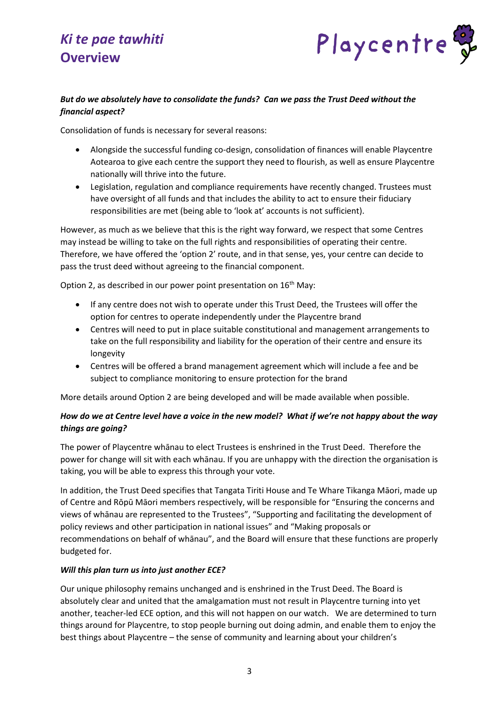

# *But do we absolutely have to consolidate the funds? Can we pass the Trust Deed without the financial aspect?*

Consolidation of funds is necessary for several reasons:

- Alongside the successful funding co-design, consolidation of finances will enable Playcentre Aotearoa to give each centre the support they need to flourish, as well as ensure Playcentre nationally will thrive into the future.
- Legislation, regulation and compliance requirements have recently changed. Trustees must have oversight of all funds and that includes the ability to act to ensure their fiduciary responsibilities are met (being able to 'look at' accounts is not sufficient).

However, as much as we believe that this is the right way forward, we respect that some Centres may instead be willing to take on the full rights and responsibilities of operating their centre. Therefore, we have offered the 'option 2' route, and in that sense, yes, your centre can decide to pass the trust deed without agreeing to the financial component.

Option 2, as described in our power point presentation on  $16<sup>th</sup>$  May:

- If any centre does not wish to operate under this Trust Deed, the Trustees will offer the option for centres to operate independently under the Playcentre brand
- Centres will need to put in place suitable constitutional and management arrangements to take on the full responsibility and liability for the operation of their centre and ensure its longevity
- Centres will be offered a brand management agreement which will include a fee and be subject to compliance monitoring to ensure protection for the brand

More details around Option 2 are being developed and will be made available when possible.

# *How do we at Centre level have a voice in the new model? What if we're not happy about the way things are going?*

The power of Playcentre whānau to elect Trustees is enshrined in the Trust Deed. Therefore the power for change will sit with each whānau. If you are unhappy with the direction the organisation is taking, you will be able to express this through your vote.

In addition, the Trust Deed specifies that Tangata Tiriti House and Te Whare Tikanga Māori, made up of Centre and Rōpū Māori members respectively, will be responsible for "Ensuring the concerns and views of whānau are represented to the Trustees", "Supporting and facilitating the development of policy reviews and other participation in national issues" and "Making proposals or recommendations on behalf of whānau", and the Board will ensure that these functions are properly budgeted for.

#### *Will this plan turn us into just another ECE?*

Our unique philosophy remains unchanged and is enshrined in the Trust Deed. The Board is absolutely clear and united that the amalgamation must not result in Playcentre turning into yet another, teacher-led ECE option, and this will not happen on our watch. We are determined to turn things around for Playcentre, to stop people burning out doing admin, and enable them to enjoy the best things about Playcentre – the sense of community and learning about your children's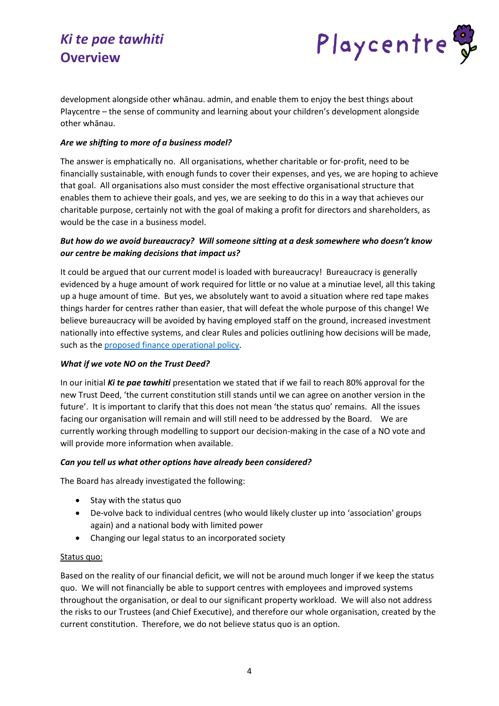

development alongside other whānau. admin, and enable them to enjoy the best things about Playcentre – the sense of community and learning about your children's development alongside other whānau.

## *Are we shifting to more of a business model?*

The answer is emphatically no. All organisations, whether charitable or for-profit, need to be financially sustainable, with enough funds to cover their expenses, and yes, we are hoping to achieve that goal. All organisations also must consider the most effective organisational structure that enables them to achieve their goals, and yes, we are seeking to do this in a way that achieves our charitable purpose, certainly not with the goal of making a profit for directors and shareholders, as would be the case in a business model.

# *But how do we avoid bureaucracy? Will someone sitting at a desk somewhere who doesn't know our centre be making decisions that impact us?*

It could be argued that our current model is loaded with bureaucracy! Bureaucracy is generally evidenced by a huge amount of work required for little or no value at a minutiae level, all this taking up a huge amount of time. But yes, we absolutely want to avoid a situation where red tape makes things harder for centres rather than easier, that will defeat the whole purpose of this change! We believe bureaucracy will be avoided by having employed staff on the ground, increased investment nationally into effective systems, and clear Rules and policies outlining how decisions will be made, such as th[e proposed finance operational policy.](https://www.playcentre.org.nz/wp-content/uploads/2022/05/How-will-finances-be-managed.pdf)

#### *What if we vote NO on the Trust Deed?*

In our initial *Ki te pae tawhiti* presentation we stated that if we fail to reach 80% approval for the new Trust Deed, 'the current constitution still stands until we can agree on another version in the future'. It is important to clarify that this does not mean 'the status quo' remains. All the issues facing our organisation will remain and will still need to be addressed by the Board. We are currently working through modelling to support our decision-making in the case of a NO vote and will provide more information when available.

#### *Can you tell us what other options have already been considered?*

The Board has already investigated the following:

- Stay with the status quo
- De-volve back to individual centres (who would likely cluster up into 'association' groups again) and a national body with limited power
- Changing our legal status to an incorporated society

# Status quo:

Based on the reality of our financial deficit, we will not be around much longer if we keep the status quo. We will not financially be able to support centres with employees and improved systems throughout the organisation, or deal to our significant property workload. We will also not address the risks to our Trustees (and Chief Executive), and therefore our whole organisation, created by the current constitution. Therefore, we do not believe status quo is an option.